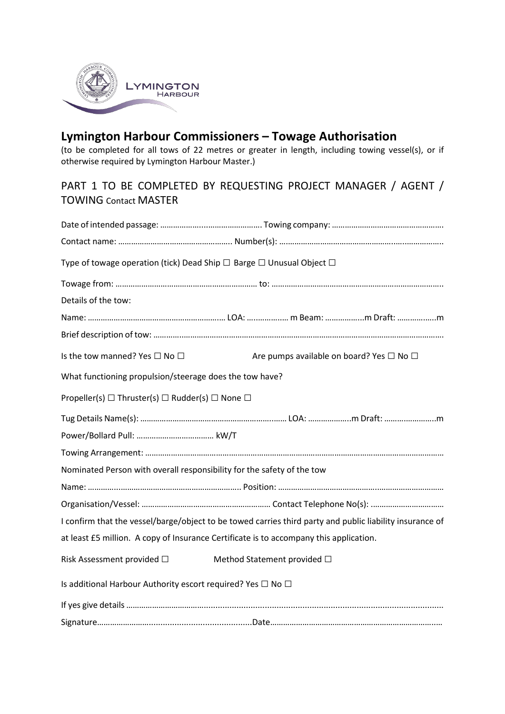

## **Lymington Harbour Commissioners – Towage Authorisation**

(to be completed for all tows of 22 metres or greater in length, including towing vessel(s), or if otherwise required by Lymington Harbour Master.)

## PART 1 TO BE COMPLETED BY REQUESTING PROJECT MANAGER / AGENT / TOWING Contact MASTER

| Type of towage operation (tick) Dead Ship $\Box$ Barge $\Box$ Unusual Object $\Box$ |                                                                                                          |
|-------------------------------------------------------------------------------------|----------------------------------------------------------------------------------------------------------|
|                                                                                     |                                                                                                          |
| Details of the tow:                                                                 |                                                                                                          |
|                                                                                     |                                                                                                          |
|                                                                                     |                                                                                                          |
| Is the tow manned? Yes $\Box$ No $\Box$                                             | Are pumps available on board? Yes □ No □                                                                 |
| What functioning propulsion/steerage does the tow have?                             |                                                                                                          |
| Propeller(s) $\Box$ Thruster(s) $\Box$ Rudder(s) $\Box$ None $\Box$                 |                                                                                                          |
|                                                                                     |                                                                                                          |
|                                                                                     |                                                                                                          |
|                                                                                     |                                                                                                          |
| Nominated Person with overall responsibility for the safety of the tow              |                                                                                                          |
|                                                                                     |                                                                                                          |
|                                                                                     |                                                                                                          |
|                                                                                     | I confirm that the vessel/barge/object to be towed carries third party and public liability insurance of |
|                                                                                     | at least £5 million. A copy of Insurance Certificate is to accompany this application.                   |
| Risk Assessment provided $\square$                                                  | Method Statement provided □                                                                              |
| Is additional Harbour Authority escort required? Yes $\Box$ No $\Box$               |                                                                                                          |
|                                                                                     |                                                                                                          |
|                                                                                     |                                                                                                          |